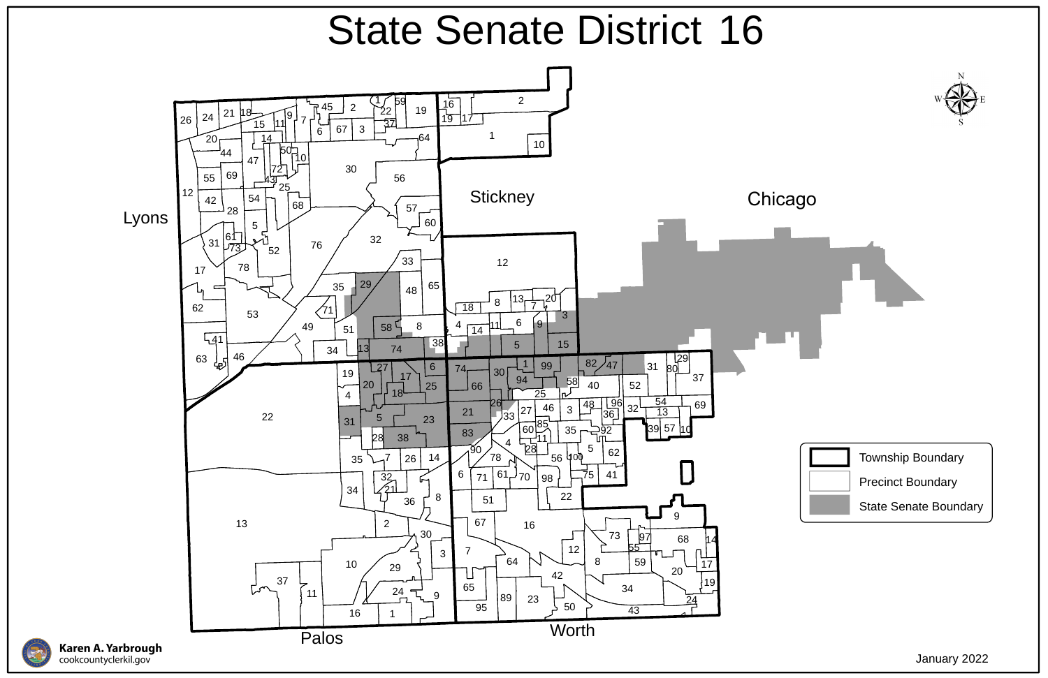





## State Senate District 16

January 2022